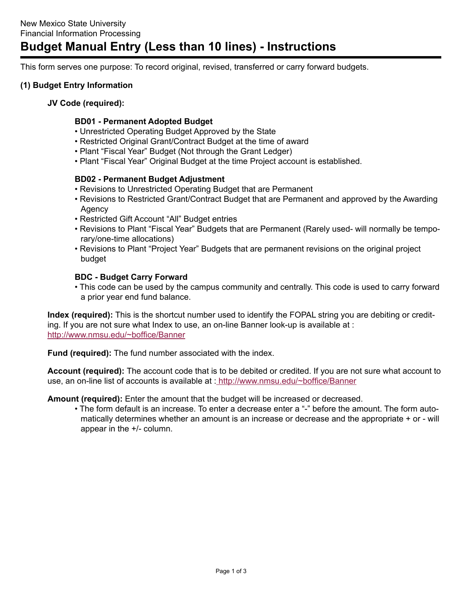# **Budget Manual Entry (Less than 10 lines) - Instructions**

This form serves one purpose: To record original, revised, transferred or carry forward budgets.

### **(1) Budget Entry Information**

#### **JV Code (required):**

#### **BD01 - Permanent Adopted Budget**

- Unrestricted Operating Budget Approved by the State
- Restricted Original Grant/Contract Budget at the time of award
- Plant "Fiscal Year" Budget (Not through the Grant Ledger)
- Plant "Fiscal Year" Original Budget at the time Project account is established.

#### **BD02 - Permanent Budget Adjustment**

- Revisions to Unrestricted Operating Budget that are Permanent
- Revisions to Restricted Grant/Contract Budget that are Permanent and approved by the Awarding Agency
- Restricted Gift Account "All" Budget entries
- Revisions to Plant "Fiscal Year" Budgets that are Permanent (Rarely used- will normally be temporary/one-time allocations)
- Revisions to Plant "Project Year" Budgets that are permanent revisions on the original project budget

#### **BDC - Budget Carry Forward**

• This code can be used by the campus community and centrally. This code is used to carry forward a prior year end fund balance.

**Index (required):** This is the shortcut number used to identify the FOPAL string you are debiting or crediting. If you are not sure what Index to use, an on-line Banner look-up is available at : <http://www.nmsu.edu/~boffice/Banner>

**Fund (required):** The fund number associated with the index.

**Account (required):** The account code that is to be debited or credited. If you are not sure what account to use, an on-line list of accounts is available at : <http://www.nmsu.edu/~boffice/Banner>

**Amount (required):** Enter the amount that the budget will be increased or decreased.

• The form default is an increase. To enter a decrease enter a "-" before the amount. The form automatically determines whether an amount is an increase or decrease and the appropriate + or - will appear in the +/- column.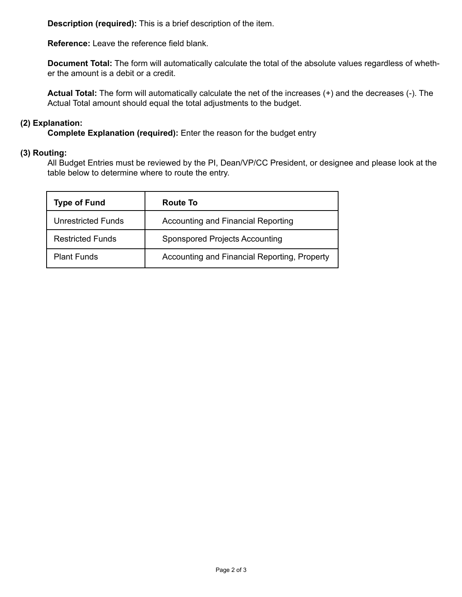**Description (required):** This is a brief description of the item.

**Reference:** Leave the reference field blank.

**Document Total:** The form will automatically calculate the total of the absolute values regardless of whether the amount is a debit or a credit.

**Actual Total:** The form will automatically calculate the net of the increases (+) and the decreases (-). The Actual Total amount should equal the total adjustments to the budget.

## **(2) Explanation:**

**Complete Explanation (required):** Enter the reason for the budget entry

#### **(3) Routing:**

All Budget Entries must be reviewed by the PI, Dean/VP/CC President, or designee and please look at the table below to determine where to route the entry.

| <b>Type of Fund</b>     | Route To                                     |
|-------------------------|----------------------------------------------|
| Unrestricted Funds      | <b>Accounting and Financial Reporting</b>    |
| <b>Restricted Funds</b> | Sponspored Projects Accounting               |
| <b>Plant Funds</b>      | Accounting and Financial Reporting, Property |